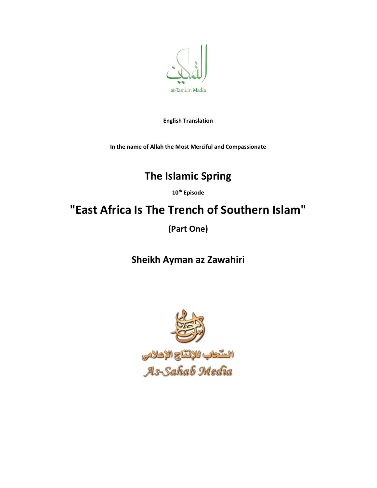

English Translation

In the name of Allah the Most Merciful and Compassionate

## The Islamic Spring

10<sup>th</sup> Episode

## "East Africa Is The Trench of Southern Islam"

(Part One)

Sheikh Ayman az Zawahiri

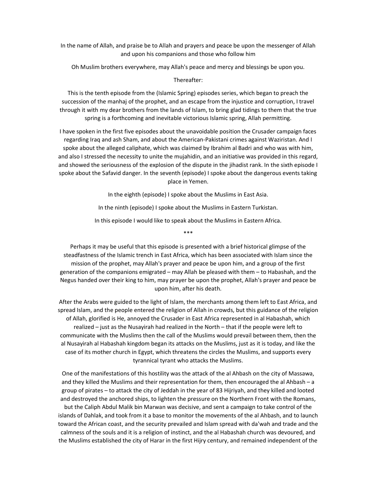In the name of Allah, and praise be to Allah and prayers and peace be upon the messenger of Allah and upon his companions and those who follow him

Oh Muslim brothers everywhere, may Allah's peace and mercy and blessings be upon you.

## Thereafter:

This is the tenth episode from the (Islamic Spring) episodes series, which began to preach the succession of the manhaj of the prophet, and an escape from the injustice and corruption, I travel through it with my dear brothers from the lands of Islam, to bring glad tidings to them that the true spring is a forthcoming and inevitable victorious Islamic spring, Allah permitting.

I have spoken in the first five episodes about the unavoidable position the Crusader campaign faces regarding Iraq and ash Sham, and about the American-Pakistani crimes against Waziristan. And I spoke about the alleged caliphate, which was claimed by Ibrahim al Badri and who was with him, and also I stressed the necessity to unite the mujahidin, and an initiative was provided in this regard, and showed the seriousness of the explosion of the dispute in the jihadist rank. In the sixth episode I spoke about the Safavid danger. In the seventh (episode) I spoke about the dangerous events taking place in Yemen.

In the eighth (episode) I spoke about the Muslims in East Asia.

In the ninth (episode) I spoke about the Muslims in Eastern Turkistan.

In this episode I would like to speak about the Muslims in Eastern Africa. \*\*\*

Perhaps it may be useful that this episode is presented with a brief historical glimpse of the steadfastness of the Islamic trench in East Africa, which has been associated with Islam since the mission of the prophet, may Allah's prayer and peace be upon him, and a group of the first generation of the companions emigrated – may Allah be pleased with them – to Habashah, and the Negus handed over their king to him, may prayer be upon the prophet, Allah's prayer and peace be upon him, after his death.

After the Arabs were guided to the light of Islam, the merchants among them left to East Africa, and spread Islam, and the people entered the religion of Allah in crowds, but this guidance of the religion of Allah, glorified is He, annoyed the Crusader in East Africa represented in al Habashah, which realized – just as the Nusayirah had realized in the North – that if the people were left to communicate with the Muslims then the call of the Muslims would prevail between them, then the al Nusayirah al Habashah kingdom began its attacks on the Muslims, just as it is today, and like the case of its mother church in Egypt, which threatens the circles the Muslims, and supports every tyrannical tyrant who attacks the Muslims.

One of the manifestations of this hostility was the attack of the al Ahbash on the city of Massawa, and they killed the Muslims and their representation for them, then encouraged the al Ahbash – a group of pirates – to attack the city of Jeddah in the year of 83 Hijriyah, and they killed and looted and destroyed the anchored ships, to lighten the pressure on the Northern Front with the Romans, but the Caliph Abdul Malik bin Marwan was decisive, and sent a campaign to take control of the islands of Dahlak, and took from it a base to monitor the movements of the al Ahbash, and to launch toward the African coast, and the security prevailed and Islam spread with da'wah and trade and the calmness of the souls and it is a religion of instinct, and the al Habashah church was devoured, and the Muslims established the city of Harar in the first Hijry century, and remained independent of the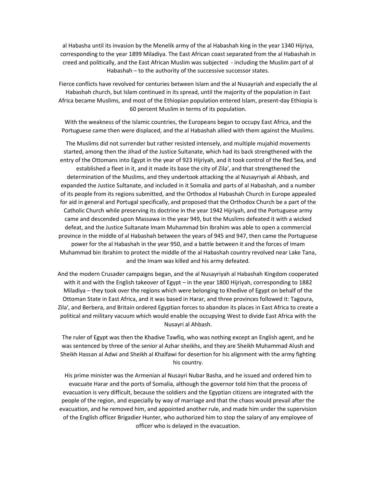al Habasha until its invasion by the Menelik army of the al Habashah king in the year 1340 Hijriya, corresponding to the year 1899 Miladiya. The East African coast separated from the al Habashah in creed and politically, and the East African Muslim was subjected - including the Muslim part of al Habashah – to the authority of the successive successor states.

Fierce conflicts have revolved for centuries between Islam and the al Nusayriah and especially the al Habashah church, but Islam continued in its spread, until the majority of the population in East Africa became Muslims, and most of the Ethiopian population entered Islam, present-day Ethiopia is 60 percent Muslim in terms of its population.

With the weakness of the Islamic countries, the Europeans began to occupy East Africa, and the Portuguese came then were displaced, and the al Habashah allied with them against the Muslims.

The Muslims did not surrender but rather resisted intensely, and multiple mujahid movements started, among then the Jihad of the Justice Sultanate, which had its back strengthened with the entry of the Ottomans into Egypt in the year of 923 Hijriyah, and it took control of the Red Sea, and established a fleet in it, and it made its base the city of Zila', and that strengthened the determination of the Muslims, and they undertook attacking the al Nusayriyah al Ahbash, and expanded the Justice Sultanate, and included in it Somalia and parts of al Habashah, and a number of its people from its regions submitted, and the Orthodox al Habashah Church in Europe appealed for aid in general and Portugal specifically, and proposed that the Orthodox Church be a part of the Catholic Church while preserving its doctrine in the year 1942 Hijriyah, and the Portuguese army came and descended upon Massawa in the year 949, but the Muslims defeated it with a wicked defeat, and the Justice Sultanate Imam Muhammad bin Ibrahim was able to open a commercial province in the middle of al Habashah between the years of 945 and 947, then came the Portuguese power for the al Habashah in the year 950, and a battle between it and the forces of Imam Muhammad bin Ibrahim to protect the middle of the al Habashah country revolved near Lake Tana, and the Imam was killed and his army defeated.

And the modern Crusader campaigns began, and the al Nusayriyah al Habashah Kingdom cooperated with it and with the English takeover of Egypt – in the year 1800 Hijriyah, corresponding to 1882 Miladiya – they took over the regions which were belonging to Khedive of Egypt on behalf of the Ottoman State in East Africa, and it was based in Harar, and three provinces followed it: Tagoura, Zila', and Berbera, and Britain ordered Egyptian forces to abandon its places in East Africa to create a political and military vacuum which would enable the occupying West to divide East Africa with the Nusayri al Ahbash.

The ruler of Egypt was then the Khadive Tawfiq, who was nothing except an English agent, and he was sentenced by three of the senior al Azhar sheikhs, and they are Sheikh Muhammad Alush and Sheikh Hassan al Adwi and Sheikh al Khalfawi for desertion for his alignment with the army fighting his country.

His prime minister was the Armenian al Nusayri Nubar Basha, and he issued and ordered him to evacuate Harar and the ports of Somalia, although the governor told him that the process of evacuation is very difficult, because the soldiers and the Egyptian citizens are integrated with the people of the region, and especially by way of marriage and that the chaos would prevail after the evacuation, and he removed him, and appointed another rule, and made him under the supervision of the English officer Brigadier Hunter, who authorized him to stop the salary of any employee of officer who is delayed in the evacuation.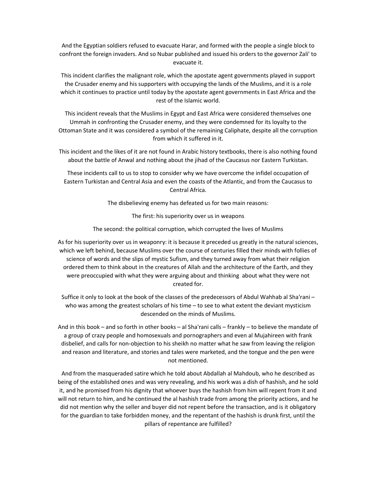And the Egyptian soldiers refused to evacuate Harar, and formed with the people a single block to confront the foreign invaders. And so Nubar published and issued his orders to the governor Zali' to evacuate it.

This incident clarifies the malignant role, which the apostate agent governments played in support the Crusader enemy and his supporters with occupying the lands of the Muslims, and it is a role which it continues to practice until today by the apostate agent governments in East Africa and the rest of the Islamic world.

This incident reveals that the Muslims in Egypt and East Africa were considered themselves one Ummah in confronting the Crusader enemy, and they were condemned for its loyalty to the Ottoman State and it was considered a symbol of the remaining Caliphate, despite all the corruption from which it suffered in it.

This incident and the likes of it are not found in Arabic history textbooks, there is also nothing found about the battle of Anwal and nothing about the jihad of the Caucasus nor Eastern Turkistan.

These incidents call to us to stop to consider why we have overcome the infidel occupation of Eastern Turkistan and Central Asia and even the coasts of the Atlantic, and from the Caucasus to Central Africa.

The disbelieving enemy has defeated us for two main reasons:

The first: his superiority over us in weapons

The second: the political corruption, which corrupted the lives of Muslims

As for his superiority over us in weaponry: it is because it preceded us greatly in the natural sciences, which we left behind, because Muslims over the course of centuries filled their minds with follies of science of words and the slips of mystic Sufism, and they turned away from what their religion ordered them to think about in the creatures of Allah and the architecture of the Earth, and they were preoccupied with what they were arguing about and thinking about what they were not created for.

Suffice it only to look at the book of the classes of the predecessors of Abdul Wahhab al Sha'rani – who was among the greatest scholars of his time  $-$  to see to what extent the deviant mysticism descended on the minds of Muslims.

And in this book – and so forth in other books – al Sha'rani calls – frankly – to believe the mandate of a group of crazy people and homosexuals and pornographers and even al Mujahireen with frank disbelief, and calls for non-objection to his sheikh no matter what he saw from leaving the religion and reason and literature, and stories and tales were marketed, and the tongue and the pen were not mentioned.

And from the masqueraded satire which he told about Abdallah al Mahdoub, who he described as being of the established ones and was very revealing, and his work was a dish of hashish, and he sold it, and he promised from his dignity that whoever buys the hashish from him will repent from it and will not return to him, and he continued the al hashish trade from among the priority actions, and he did not mention why the seller and buyer did not repent before the transaction, and is it obligatory for the guardian to take forbidden money, and the repentant of the hashish is drunk first, until the pillars of repentance are fulfilled?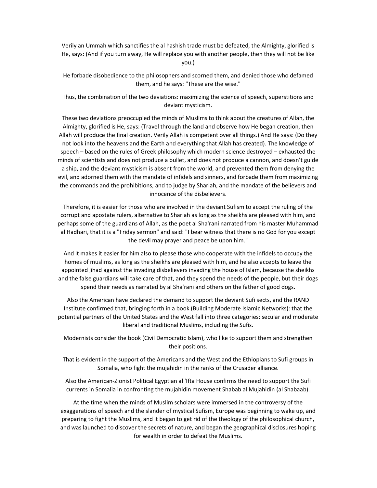Verily an Ummah which sanctifies the al hashish trade must be defeated, the Almighty, glorified is He, says: (And if you turn away, He will replace you with another people, then they will not be like you.)

He forbade disobedience to the philosophers and scorned them, and denied those who defamed them, and he says: "These are the wise."

Thus, the combination of the two deviations: maximizing the science of speech, superstitions and deviant mysticism.

These two deviations preoccupied the minds of Muslims to think about the creatures of Allah, the Almighty, glorified is He, says: (Travel through the land and observe how He began creation, then Allah will produce the final creation. Verily Allah is competent over all things.) And He says: (Do they not look into the heavens and the Earth and everything that Allah has created). The knowledge of speech – based on the rules of Greek philosophy which modern science destroyed – exhausted the minds of scientists and does not produce a bullet, and does not produce a cannon, and doesn't guide a ship, and the deviant mysticism is absent from the world, and prevented them from denying the evil, and adorned them with the mandate of infidels and sinners, and forbade them from maximizing the commands and the prohibitions, and to judge by Shariah, and the mandate of the believers and innocence of the disbelievers.

Therefore, it is easier for those who are involved in the deviant Sufism to accept the ruling of the corrupt and apostate rulers, alternative to Shariah as long as the sheikhs are pleased with him, and perhaps some of the guardians of Allah, as the poet al Sha'rani narrated from his master Muhammad al Hadhari, that it is a "Friday sermon" and said: "I bear witness that there is no God for you except the devil may prayer and peace be upon him."

And it makes it easier for him also to please those who cooperate with the infidels to occupy the homes of muslims, as long as the sheikhs are pleased with him, and he also accepts to leave the appointed jihad against the invading disbelievers invading the house of Islam, because the sheikhs and the false guardians will take care of that, and they spend the needs of the people, but their dogs spend their needs as narrated by al Sha'rani and others on the father of good dogs.

Also the American have declared the demand to support the deviant Sufi sects, and the RAND Institute confirmed that, bringing forth in a book (Building Moderate Islamic Networks): that the potential partners of the United States and the West fall into three categories: secular and moderate liberal and traditional Muslims, including the Sufis.

Modernists consider the book (Civil Democratic Islam), who like to support them and strengthen their positions.

That is evident in the support of the Americans and the West and the Ethiopians to Sufi groups in Somalia, who fight the mujahidin in the ranks of the Crusader alliance.

Also the American-Zionist Political Egyptian al 'Ifta House confirms the need to support the Sufi currents in Somalia in confronting the mujahidin movement Shabab al Mujahidin (al Shabaab).

At the time when the minds of Muslim scholars were immersed in the controversy of the exaggerations of speech and the slander of mystical Sufism, Europe was beginning to wake up, and preparing to fight the Muslims, and it began to get rid of the theology of the philosophical church, and was launched to discover the secrets of nature, and began the geographical disclosures hoping for wealth in order to defeat the Muslims.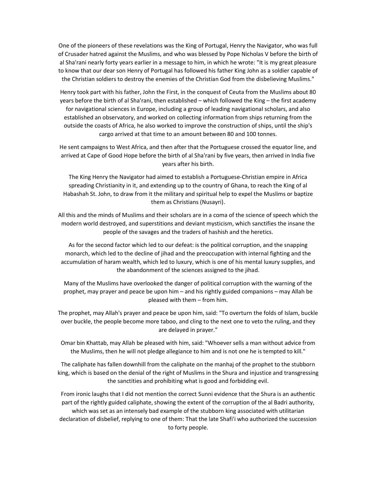One of the pioneers of these revelations was the King of Portugal, Henry the Navigator, who was full of Crusader hatred against the Muslims, and who was blessed by Pope Nicholas V before the birth of al Sha'rani nearly forty years earlier in a message to him, in which he wrote: "It is my great pleasure to know that our dear son Henry of Portugal has followed his father King John as a soldier capable of the Christian soldiers to destroy the enemies of the Christian God from the disbelieving Muslims."

Henry took part with his father, John the First, in the conquest of Ceuta from the Muslims about 80 years before the birth of al Sha'rani, then established – which followed the King – the first academy for navigational sciences in Europe, including a group of leading navigational scholars, and also established an observatory, and worked on collecting information from ships returning from the outside the coasts of Africa, he also worked to improve the construction of ships, until the ship's cargo arrived at that time to an amount between 80 and 100 tonnes.

He sent campaigns to West Africa, and then after that the Portuguese crossed the equator line, and arrived at Cape of Good Hope before the birth of al Sha'rani by five years, then arrived in India five years after his birth.

The King Henry the Navigator had aimed to establish a Portuguese-Christian empire in Africa spreading Christianity in it, and extending up to the country of Ghana, to reach the King of al Habashah St. John, to draw from it the military and spiritual help to expel the Muslims or baptize them as Christians (Nusayri).

All this and the minds of Muslims and their scholars are in a coma of the science of speech which the modern world destroyed, and superstitions and deviant mysticism, which sanctifies the insane the people of the savages and the traders of hashish and the heretics.

As for the second factor which led to our defeat: is the political corruption, and the snapping monarch, which led to the decline of jihad and the preoccupation with internal fighting and the accumulation of haram wealth, which led to luxury, which is one of his mental luxury supplies, and the abandonment of the sciences assigned to the jihad.

Many of the Muslims have overlooked the danger of political corruption with the warning of the prophet, may prayer and peace be upon him – and his rightly guided companions – may Allah be pleased with them – from him.

The prophet, may Allah's prayer and peace be upon him, said: "To overturn the folds of Islam, buckle over buckle, the people become more taboo, and cling to the next one to veto the ruling, and they are delayed in prayer."

Omar bin Khattab, may Allah be pleased with him, said: "Whoever sells a man without advice from the Muslims, then he will not pledge allegiance to him and is not one he is tempted to kill."

The caliphate has fallen downhill from the caliphate on the manhaj of the prophet to the stubborn king, which is based on the denial of the right of Muslims in the Shura and injustice and transgressing the sanctities and prohibiting what is good and forbidding evil.

From ironic laughs that I did not mention the correct Sunni evidence that the Shura is an authentic part of the rightly guided caliphate, showing the extent of the corruption of the al Badri authority, which was set as an intensely bad example of the stubborn king associated with utilitarian declaration of disbelief, replying to one of them: That the late Shafi'i who authorized the succession to forty people.